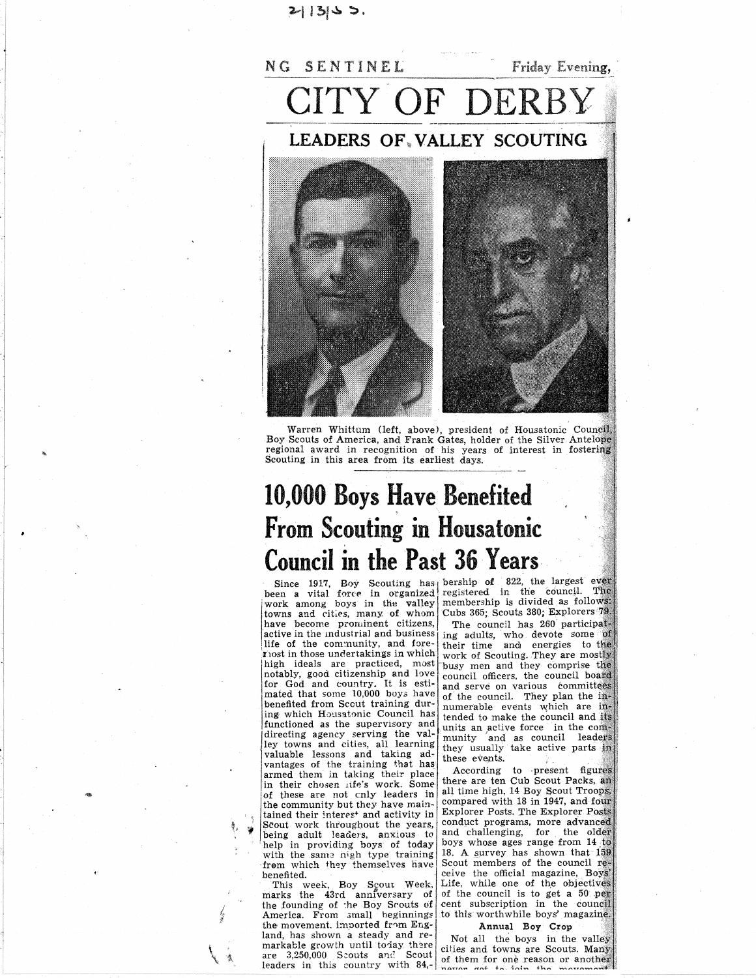# $2|13|$   $>$   $>$ .



Warren Whittum (left, above), president of Housatonic Council, Boy Scouts of America, and Frank Gates, holder of the Silver Antelope regional award in recognition of his years of interest in fostering Scouting in this area from its earliest days.

# **10,000 Boys Have Benefited From Scouting in Housatonic Council in the Past 36 Years**

work among boys in the valley<br>towns and cities, many of whom have become prominent citizens, active in the industrial and business life of the community, and fore-Thost in those undertakings in which high ideals are practiced, most notably, good citizenship and love<br>for God and country. It is esti-<br>mated that some 10,000 boys have benefited from Scout training during which Housatonic Council has functioned as the supervisory and directing agency serving the valley towns and cities, all learning<br>valuable lessons and taking advantages of the training that has in their chosen life's work. Some-<br>of these are not cnly leaders in the community but they have maintained their interes<sup>+</sup> and activity in Scout work throughout the years, being adult leaders, anxious to help in providing boys of today with the same high type training<br>from which they themselves have benefited.

This week, Boy Scout Week, marks the 43rd anniversary of<br>the founding of the Boy Scouts of America. From small beginnings the movement. imported from England, has shown a steady and remarkable growth until today there<br>are 3,250,000 Scouts and Scout leaders in this country with  $84$ , and  $\frac{64}{100}$  movem and the interest the

Since 1917, Boy Scouting has bership of 822, the largest ever<br>been a vital force in organized registered in the council. The membership is divided as follows: Cubs 365; Scouts 380; Explorers 79. The council has 260 participating adults, who devote some of their time and energies to the work of Scouting. They are mostly busy men and they comprise the council officers, the council board and serve on various committees<br>of the council. They plan the innumerable events which are intended to make the council and its units an active force in the community and as council leaders<br>they usually take active parts in these events.

> According to present figures there are ten Cub Scout Packs, an all time high, 14 Boy Scout Troops. compared with 18 in 1947, and four Explorer Posts. The Explorer Posts conduct programs, more advanced and challenging, for the older boys whose ages range from 14 to 18. A survey has shown that 159 Scout members of the council receive the official magazine, Boys Life, while one of the objectives of the council is to get a 50 per cent subscription in the council to this worthwhile boys' magazine.

## Annual Boy Crop

Not all the boys in the valley cities and towns are Scouts. Many of them for one reason or another